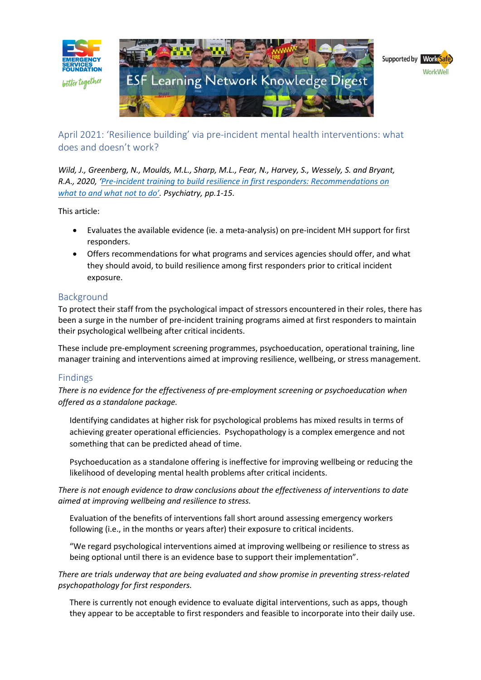

April 2021: 'Resilience building' via pre-incident mental health interventions: what does and doesn't work?

*Wild, J., Greenberg, N., Moulds, M.L., Sharp, M.L., Fear, N., Harvey, S., Wessely, S. and Bryant, R.A., 2020, '[Pre-incident training to build resilience in first responders: Recommendations on](https://esf.com.au/wp-content/uploads/2020/11/what-works-Pre-incident-Training-to-Build-Resilience-in-First-Responders-Recommendations-on-What-to-and-What-Not-to-Do.pdf)  [what to and what not to do'](https://esf.com.au/wp-content/uploads/2020/11/what-works-Pre-incident-Training-to-Build-Resilience-in-First-Responders-Recommendations-on-What-to-and-What-Not-to-Do.pdf). Psychiatry, pp.1-15.*

This article:

- Evaluates the available evidence (ie. a meta-analysis) on pre-incident MH support for first responders.
- Offers recommendations for what programs and services agencies should offer, and what they should avoid, to build resilience among first responders prior to critical incident exposure.

## Background

To protect their staff from the psychological impact of stressors encountered in their roles, there has been a surge in the number of pre-incident training programs aimed at first responders to maintain their psychological wellbeing after critical incidents.

These include pre-employment screening programmes, psychoeducation, operational training, line manager training and interventions aimed at improving resilience, wellbeing, or stress management.

## Findings

*There is no evidence for the effectiveness of pre-employment screening or psychoeducation when offered as a standalone package.*

Identifying candidates at higher risk for psychological problems has mixed results in terms of achieving greater operational efficiencies. Psychopathology is a complex emergence and not something that can be predicted ahead of time.

Psychoeducation as a standalone offering is ineffective for improving wellbeing or reducing the likelihood of developing mental health problems after critical incidents.

*There is not enough evidence to draw conclusions about the effectiveness of interventions to date aimed at improving wellbeing and resilience to stress.*

Evaluation of the benefits of interventions fall short around assessing emergency workers following (i.e., in the months or years after) their exposure to critical incidents.

"We regard psychological interventions aimed at improving wellbeing or resilience to stress as being optional until there is an evidence base to support their implementation".

*There are trials underway that are being evaluated and show promise in preventing stress-related psychopathology for first responders.*

There is currently not enough evidence to evaluate digital interventions, such as apps, though they appear to be acceptable to first responders and feasible to incorporate into their daily use.